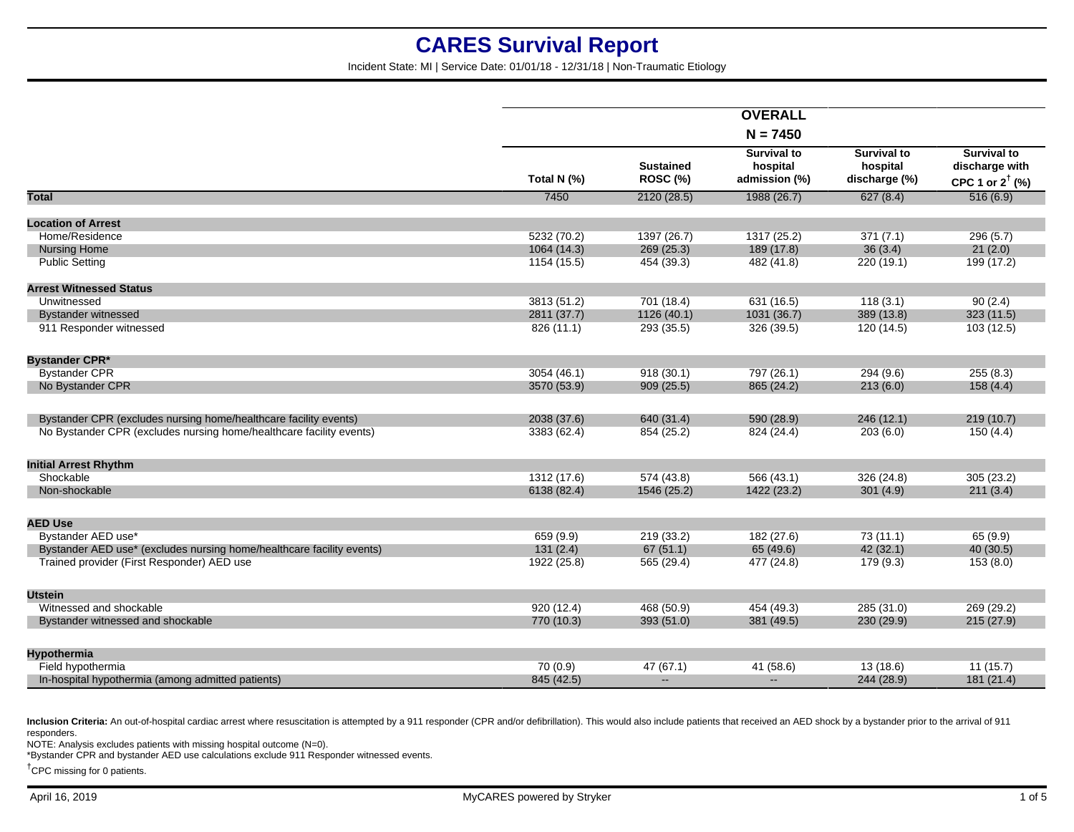Incident State: MI | Service Date: 01/01/18 - 12/31/18 | Non-Traumatic Etiology

|                                                                       |             |                                     | <b>OVERALL</b>                                  |                                                 |                                                                    |
|-----------------------------------------------------------------------|-------------|-------------------------------------|-------------------------------------------------|-------------------------------------------------|--------------------------------------------------------------------|
|                                                                       |             |                                     | $N = 7450$                                      |                                                 |                                                                    |
|                                                                       | Total N (%) | <b>Sustained</b><br><b>ROSC (%)</b> | <b>Survival to</b><br>hospital<br>admission (%) | <b>Survival to</b><br>hospital<br>discharge (%) | <b>Survival to</b><br>discharge with<br>CPC 1 or $2^{\dagger}$ (%) |
| <b>Total</b>                                                          | 7450        | 2120(28.5)                          | 1988 (26.7)                                     | 627(8.4)                                        | 516(6.9)                                                           |
| <b>Location of Arrest</b>                                             |             |                                     |                                                 |                                                 |                                                                    |
| Home/Residence                                                        | 5232 (70.2) | 1397 (26.7)                         | 1317 (25.2)                                     | 371(7.1)                                        | 296(5.7)                                                           |
| <b>Nursing Home</b>                                                   | 1064 (14.3) | 269(25.3)                           | 189 (17.8)                                      | 36(3.4)                                         | 21(2.0)                                                            |
| <b>Public Setting</b>                                                 | 1154 (15.5) | 454 (39.3)                          | 482 (41.8)                                      | 220(19.1)                                       | 199 (17.2)                                                         |
|                                                                       |             |                                     |                                                 |                                                 |                                                                    |
| <b>Arrest Witnessed Status</b>                                        |             |                                     |                                                 |                                                 |                                                                    |
| Unwitnessed                                                           | 3813(51.2)  | 701 (18.4)                          | 631 (16.5)                                      | 118(3.1)                                        | 90(2.4)                                                            |
| <b>Bystander witnessed</b>                                            | 2811 (37.7) | 1126 (40.1)                         | 1031 (36.7)                                     | 389 (13.8)                                      | 323(11.5)                                                          |
| 911 Responder witnessed                                               | 826 (11.1)  | 293 (35.5)                          | 326 (39.5)                                      | 120 (14.5)                                      | 103 (12.5)                                                         |
|                                                                       |             |                                     |                                                 |                                                 |                                                                    |
| <b>Bystander CPR*</b>                                                 |             |                                     |                                                 |                                                 |                                                                    |
| <b>Bystander CPR</b><br>No Bystander CPR                              | 3054 (46.1) | 918(30.1)                           | 797 (26.1)                                      | 294(9.6)                                        | 255(8.3)                                                           |
|                                                                       | 3570 (53.9) | 909(25.5)                           | 865 (24.2)                                      | 213(6.0)                                        | 158(4.4)                                                           |
| Bystander CPR (excludes nursing home/healthcare facility events)      | 2038 (37.6) | 640 (31.4)                          | 590 (28.9)                                      | 246(12.1)                                       | 219(10.7)                                                          |
| No Bystander CPR (excludes nursing home/healthcare facility events)   | 3383 (62.4) | 854 (25.2)                          | 824 (24.4)                                      | 203(6.0)                                        | 150(4.4)                                                           |
|                                                                       |             |                                     |                                                 |                                                 |                                                                    |
| <b>Initial Arrest Rhythm</b>                                          |             |                                     |                                                 |                                                 |                                                                    |
| Shockable                                                             | 1312 (17.6) | 574 (43.8)                          | 566(43.1)                                       | 326 (24.8)                                      | 305(23.2)                                                          |
| Non-shockable                                                         | 6138 (82.4) | 1546 (25.2)                         | 1422 (23.2)                                     | 301(4.9)                                        | 211(3.4)                                                           |
|                                                                       |             |                                     |                                                 |                                                 |                                                                    |
| <b>AED Use</b>                                                        |             |                                     |                                                 |                                                 |                                                                    |
| Bystander AED use*                                                    | 659(9.9)    | 219 (33.2)                          | 182 (27.6)                                      | 73(11.1)                                        | 65(9.9)                                                            |
| Bystander AED use* (excludes nursing home/healthcare facility events) | 131(2.4)    | 67(51.1)                            | 65 (49.6)                                       | 42(32.1)                                        | 40(30.5)                                                           |
| Trained provider (First Responder) AED use                            | 1922 (25.8) | 565 (29.4)                          | 477 (24.8)                                      | 179(9.3)                                        | 153(8.0)                                                           |
| <b>Utstein</b>                                                        |             |                                     |                                                 |                                                 |                                                                    |
| Witnessed and shockable                                               | 920(12.4)   | 468 (50.9)                          | 454 (49.3)                                      | 285 (31.0)                                      | 269 (29.2)                                                         |
| Bystander witnessed and shockable                                     | 770 (10.3)  | 393 (51.0)                          | 381 (49.5)                                      | 230 (29.9)                                      | 215(27.9)                                                          |
|                                                                       |             |                                     |                                                 |                                                 |                                                                    |
| Hypothermia                                                           |             |                                     |                                                 |                                                 |                                                                    |
| Field hypothermia                                                     | 70(0.9)     | 47(67.1)                            | 41(58.6)                                        | 13(18.6)                                        | 11(15.7)                                                           |
| In-hospital hypothermia (among admitted patients)                     | 845 (42.5)  | $\mathbf{u}$                        | $\overline{\phantom{0}}$                        | 244 (28.9)                                      | 181 (21.4)                                                         |

Inclusion Criteria: An out-of-hospital cardiac arrest where resuscitation is attempted by a 911 responder (CPR and/or defibrillation). This would also include patients that received an AED shock by a bystander prior to the responders.

NOTE: Analysis excludes patients with missing hospital outcome (N=0).

\*Bystander CPR and bystander AED use calculations exclude 911 Responder witnessed events.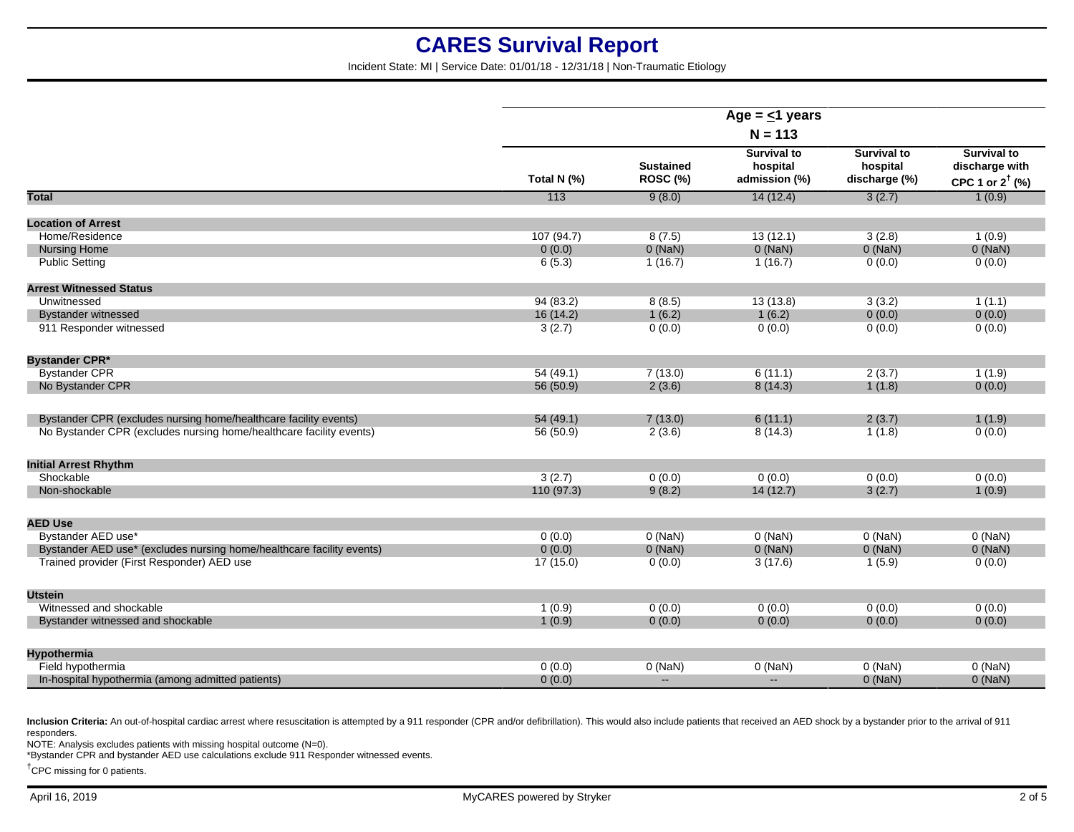Incident State: MI | Service Date: 01/01/18 - 12/31/18 | Non-Traumatic Etiology

|                                                                       | Age = $\leq$ 1 years |                              |                                                 |                                                 |                                                                    |
|-----------------------------------------------------------------------|----------------------|------------------------------|-------------------------------------------------|-------------------------------------------------|--------------------------------------------------------------------|
|                                                                       | $N = 113$            |                              |                                                 |                                                 |                                                                    |
|                                                                       | Total N (%)          | <b>Sustained</b><br>ROSC (%) | <b>Survival to</b><br>hospital<br>admission (%) | <b>Survival to</b><br>hospital<br>discharge (%) | <b>Survival to</b><br>discharge with<br>CPC 1 or $2^{\dagger}$ (%) |
| <b>Total</b>                                                          | 113                  | 9(8.0)                       | 14(12.4)                                        | 3(2.7)                                          | 1(0.9)                                                             |
| <b>Location of Arrest</b>                                             |                      |                              |                                                 |                                                 |                                                                    |
| Home/Residence                                                        | 107(94.7)            | 8(7.5)                       | 13(12.1)                                        | 3(2.8)                                          | 1(0.9)                                                             |
| <b>Nursing Home</b>                                                   | 0(0.0)               | $0$ (NaN)                    | $0$ (NaN)                                       | $0$ (NaN)                                       | $0$ (NaN)                                                          |
| <b>Public Setting</b>                                                 | 6(5.3)               | 1(16.7)                      | 1(16.7)                                         | 0(0.0)                                          | 0(0.0)                                                             |
| <b>Arrest Witnessed Status</b>                                        |                      |                              |                                                 |                                                 |                                                                    |
| Unwitnessed                                                           | 94(83.2)             | 8(8.5)                       | 13(13.8)                                        | 3(3.2)                                          | 1(1.1)                                                             |
| <b>Bystander witnessed</b>                                            | 16(14.2)             | 1(6.2)                       | 1(6.2)                                          | 0(0.0)                                          | 0(0.0)                                                             |
| 911 Responder witnessed                                               | 3(2.7)               | 0(0.0)                       | 0(0.0)                                          | 0(0.0)                                          | 0(0.0)                                                             |
| <b>Bystander CPR*</b>                                                 |                      |                              |                                                 |                                                 |                                                                    |
| <b>Bystander CPR</b>                                                  | 54(49.1)             | 7(13.0)                      | 6(11.1)                                         | 2(3.7)                                          | 1(1.9)                                                             |
| No Bystander CPR                                                      | 56 (50.9)            | 2(3.6)                       | 8(14.3)                                         | 1(1.8)                                          | 0(0.0)                                                             |
| Bystander CPR (excludes nursing home/healthcare facility events)      | 54(49.1)             | 7(13.0)                      | 6(11.1)                                         | 2(3.7)                                          | 1(1.9)                                                             |
| No Bystander CPR (excludes nursing home/healthcare facility events)   | 56 (50.9)            | 2(3.6)                       | 8(14.3)                                         | 1(1.8)                                          | 0(0.0)                                                             |
| <b>Initial Arrest Rhythm</b>                                          |                      |                              |                                                 |                                                 |                                                                    |
| Shockable                                                             | 3(2.7)               | 0(0.0)                       | 0(0.0)                                          | 0(0.0)                                          | 0(0.0)                                                             |
| Non-shockable                                                         | 110(97.3)            | 9(8.2)                       | 14(12.7)                                        | 3(2.7)                                          | 1(0.9)                                                             |
| <b>AED Use</b>                                                        |                      |                              |                                                 |                                                 |                                                                    |
| Bystander AED use*                                                    | 0(0.0)               | $0$ (NaN)                    | $0$ (NaN)                                       | $0$ (NaN)                                       | $0$ (NaN)                                                          |
| Bystander AED use* (excludes nursing home/healthcare facility events) | 0(0.0)               | $0$ (NaN)                    | $0$ (NaN)                                       | $0$ (NaN)                                       | $0$ (NaN)                                                          |
| Trained provider (First Responder) AED use                            | 17(15.0)             | 0(0.0)                       | 3(17.6)                                         | 1(5.9)                                          | 0(0.0)                                                             |
| <b>Utstein</b>                                                        |                      |                              |                                                 |                                                 |                                                                    |
| Witnessed and shockable                                               | 1(0.9)               | 0(0.0)                       | 0(0.0)                                          | 0(0.0)                                          | 0(0.0)                                                             |
| Bystander witnessed and shockable                                     | 1(0.9)               | 0(0.0)                       | 0(0.0)                                          | 0(0.0)                                          | 0(0.0)                                                             |
| Hypothermia                                                           |                      |                              |                                                 |                                                 |                                                                    |
| Field hypothermia                                                     | 0(0.0)               | $0$ (NaN)                    | $0$ (NaN)                                       | $0$ (NaN)                                       | $0$ (NaN)                                                          |
| In-hospital hypothermia (among admitted patients)                     | 0(0.0)               | $\mathbf{u}$                 | $\mathbf{u}$                                    | $0$ (NaN)                                       | $0$ (NaN)                                                          |
|                                                                       |                      |                              |                                                 |                                                 |                                                                    |

Inclusion Criteria: An out-of-hospital cardiac arrest where resuscitation is attempted by a 911 responder (CPR and/or defibrillation). This would also include patients that received an AED shock by a bystander prior to the responders.

NOTE: Analysis excludes patients with missing hospital outcome (N=0).

\*Bystander CPR and bystander AED use calculations exclude 911 Responder witnessed events.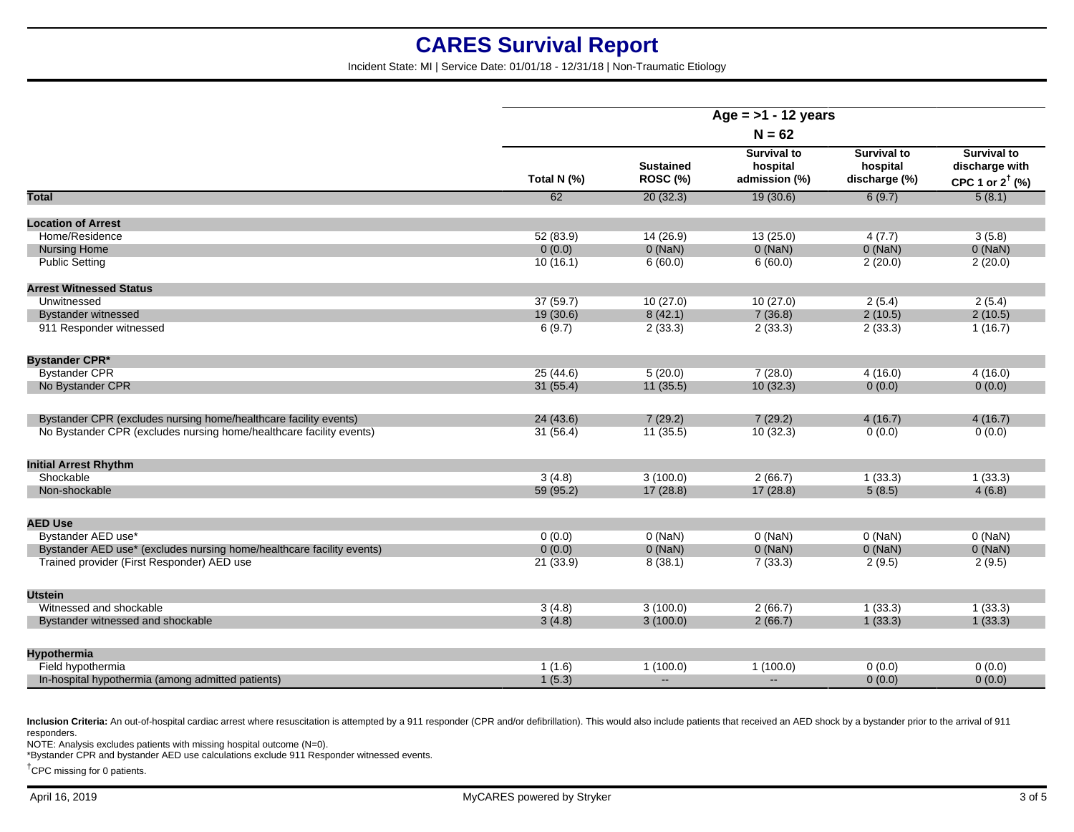Incident State: MI | Service Date: 01/01/18 - 12/31/18 | Non-Traumatic Etiology

|                                                                       | Age = $>1$ - 12 years |                              |                                                 |                                                 |                                                                    |
|-----------------------------------------------------------------------|-----------------------|------------------------------|-------------------------------------------------|-------------------------------------------------|--------------------------------------------------------------------|
|                                                                       | $N = 62$              |                              |                                                 |                                                 |                                                                    |
|                                                                       | Total N (%)           | <b>Sustained</b><br>ROSC (%) | <b>Survival to</b><br>hospital<br>admission (%) | <b>Survival to</b><br>hospital<br>discharge (%) | <b>Survival to</b><br>discharge with<br>CPC 1 or $2^{\dagger}$ (%) |
| <b>Total</b>                                                          | 62                    | 20(32.3)                     | 19(30.6)                                        | 6(9.7)                                          | 5(8.1)                                                             |
| <b>Location of Arrest</b>                                             |                       |                              |                                                 |                                                 |                                                                    |
| Home/Residence                                                        | 52 (83.9)             | 14(26.9)                     | 13(25.0)                                        | 4(7.7)                                          | 3(5.8)                                                             |
| <b>Nursing Home</b>                                                   | 0(0.0)                | $0$ (NaN)                    | 0(NaN)                                          | $0$ (NaN)                                       | $0$ (NaN)                                                          |
| <b>Public Setting</b>                                                 | 10(16.1)              | 6(60.0)                      | 6(60.0)                                         | 2(20.0)                                         | 2(20.0)                                                            |
| <b>Arrest Witnessed Status</b>                                        |                       |                              |                                                 |                                                 |                                                                    |
| Unwitnessed                                                           | 37(59.7)              | 10(27.0)                     | 10(27.0)                                        | 2(5.4)                                          | 2(5.4)                                                             |
| <b>Bystander witnessed</b>                                            | 19 (30.6)             | 8(42.1)                      | 7(36.8)                                         | 2(10.5)                                         | 2(10.5)                                                            |
| 911 Responder witnessed                                               | 6(9.7)                | 2(33.3)                      | 2(33.3)                                         | 2(33.3)                                         | 1(16.7)                                                            |
| <b>Bystander CPR*</b>                                                 |                       |                              |                                                 |                                                 |                                                                    |
| <b>Bystander CPR</b>                                                  | 25(44.6)              | 5(20.0)                      | 7(28.0)                                         | 4(16.0)                                         | 4(16.0)                                                            |
| No Bystander CPR                                                      | 31(55.4)              | 11(35.5)                     | 10(32.3)                                        | 0(0.0)                                          | 0(0.0)                                                             |
| Bystander CPR (excludes nursing home/healthcare facility events)      | 24 (43.6)             | 7(29.2)                      | 7(29.2)                                         | 4(16.7)                                         | 4(16.7)                                                            |
| No Bystander CPR (excludes nursing home/healthcare facility events)   | 31(56.4)              | 11(35.5)                     | 10(32.3)                                        | 0(0.0)                                          | 0(0.0)                                                             |
| <b>Initial Arrest Rhythm</b>                                          |                       |                              |                                                 |                                                 |                                                                    |
| Shockable                                                             | 3(4.8)                | 3(100.0)                     | 2(66.7)                                         | 1(33.3)                                         | 1(33.3)                                                            |
| Non-shockable                                                         | 59 (95.2)             | 17(28.8)                     | 17(28.8)                                        | 5(8.5)                                          | 4(6.8)                                                             |
| <b>AED Use</b>                                                        |                       |                              |                                                 |                                                 |                                                                    |
| Bystander AED use*                                                    | 0(0.0)                | $0$ (NaN)                    | $0$ (NaN)                                       | $0$ (NaN)                                       | $0$ (NaN)                                                          |
| Bystander AED use* (excludes nursing home/healthcare facility events) | 0(0.0)                | $0$ (NaN)                    | $0$ (NaN)                                       | $0$ (NaN)                                       | $0$ (NaN)                                                          |
| Trained provider (First Responder) AED use                            | 21(33.9)              | 8(38.1)                      | 7(33.3)                                         | 2(9.5)                                          | 2(9.5)                                                             |
| <b>Utstein</b>                                                        |                       |                              |                                                 |                                                 |                                                                    |
| Witnessed and shockable                                               | 3(4.8)                | 3(100.0)                     | 2(66.7)                                         | 1(33.3)                                         | 1(33.3)                                                            |
| Bystander witnessed and shockable                                     | 3(4.8)                | 3(100.0)                     | 2(66.7)                                         | 1(33.3)                                         | 1(33.3)                                                            |
| <b>Hypothermia</b>                                                    |                       |                              |                                                 |                                                 |                                                                    |
| Field hypothermia                                                     | 1(1.6)                | 1(100.0)                     | 1(100.0)                                        | 0(0.0)                                          | 0(0.0)                                                             |
| In-hospital hypothermia (among admitted patients)                     | 1(5.3)                | $\sim$                       | $\sim$                                          | 0(0.0)                                          | 0(0.0)                                                             |

Inclusion Criteria: An out-of-hospital cardiac arrest where resuscitation is attempted by a 911 responder (CPR and/or defibrillation). This would also include patients that received an AED shock by a bystander prior to the responders.

NOTE: Analysis excludes patients with missing hospital outcome (N=0).

\*Bystander CPR and bystander AED use calculations exclude 911 Responder witnessed events.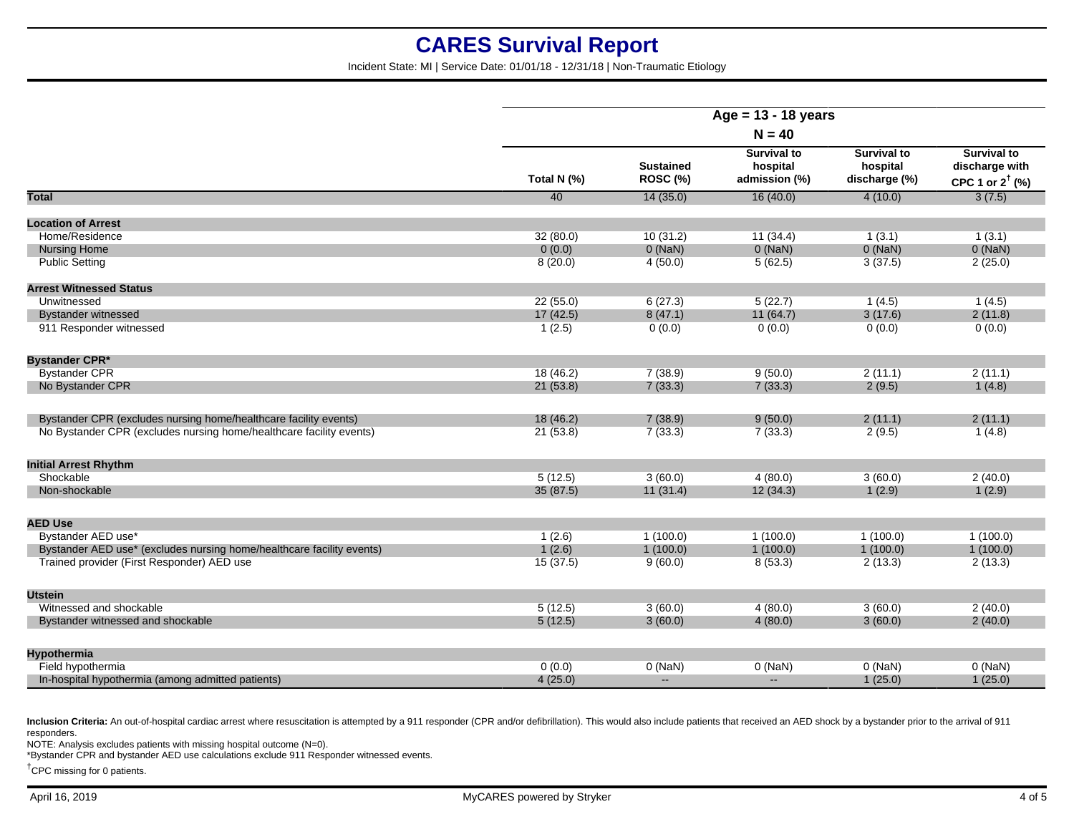Incident State: MI | Service Date: 01/01/18 - 12/31/18 | Non-Traumatic Etiology

|                                                                       | Age = $13 - 18$ years<br>$N = 40$ |                              |                                                 |                                                 |                                                                    |
|-----------------------------------------------------------------------|-----------------------------------|------------------------------|-------------------------------------------------|-------------------------------------------------|--------------------------------------------------------------------|
|                                                                       |                                   |                              |                                                 |                                                 |                                                                    |
|                                                                       | Total N (%)                       | <b>Sustained</b><br>ROSC (%) | <b>Survival to</b><br>hospital<br>admission (%) | <b>Survival to</b><br>hospital<br>discharge (%) | <b>Survival to</b><br>discharge with<br>CPC 1 or $2^{\dagger}$ (%) |
| <b>Total</b>                                                          | 40                                | 14(35.0)                     | 16(40.0)                                        | 4(10.0)                                         | 3(7.5)                                                             |
| <b>Location of Arrest</b>                                             |                                   |                              |                                                 |                                                 |                                                                    |
| Home/Residence                                                        | 32(80.0)                          | 10(31.2)                     | 11(34.4)                                        | 1(3.1)                                          | 1(3.1)                                                             |
| <b>Nursing Home</b>                                                   | 0(0.0)                            | $0$ (NaN)                    | $0$ (NaN)                                       | $0$ (NaN)                                       | $0$ (NaN)                                                          |
| <b>Public Setting</b>                                                 | 8(20.0)                           | 4(50.0)                      | 5(62.5)                                         | 3(37.5)                                         | 2(25.0)                                                            |
| <b>Arrest Witnessed Status</b>                                        |                                   |                              |                                                 |                                                 |                                                                    |
| Unwitnessed                                                           | 22(55.0)                          | 6(27.3)                      | 5(22.7)                                         | 1(4.5)                                          | 1(4.5)                                                             |
| <b>Bystander witnessed</b>                                            | 17(42.5)                          | 8(47.1)                      | 11 (64.7)                                       | 3(17.6)                                         | 2(11.8)                                                            |
| 911 Responder witnessed                                               | 1(2.5)                            | 0(0.0)                       | 0(0.0)                                          | 0(0.0)                                          | 0(0.0)                                                             |
| <b>Bystander CPR*</b>                                                 |                                   |                              |                                                 |                                                 |                                                                    |
| <b>Bystander CPR</b>                                                  | 18(46.2)                          | 7(38.9)                      | 9(50.0)                                         | 2(11.1)                                         | 2(11.1)                                                            |
| No Bystander CPR                                                      | 21(53.8)                          | 7(33.3)                      | 7(33.3)                                         | 2(9.5)                                          | 1(4.8)                                                             |
| Bystander CPR (excludes nursing home/healthcare facility events)      | 18 (46.2)                         | 7(38.9)                      | 9(50.0)                                         | 2(11.1)                                         | 2(11.1)                                                            |
| No Bystander CPR (excludes nursing home/healthcare facility events)   | 21(53.8)                          | 7(33.3)                      | 7(33.3)                                         | 2(9.5)                                          | 1(4.8)                                                             |
| <b>Initial Arrest Rhythm</b>                                          |                                   |                              |                                                 |                                                 |                                                                    |
| Shockable                                                             | 5(12.5)                           | 3(60.0)                      | 4(80.0)                                         | 3(60.0)                                         | 2(40.0)                                                            |
| Non-shockable                                                         | 35(87.5)                          | 11(31.4)                     | 12(34.3)                                        | 1(2.9)                                          | 1(2.9)                                                             |
| <b>AED Use</b>                                                        |                                   |                              |                                                 |                                                 |                                                                    |
| Bystander AED use*                                                    | 1(2.6)                            | 1(100.0)                     | 1(100.0)                                        | 1(100.0)                                        | 1(100.0)                                                           |
| Bystander AED use* (excludes nursing home/healthcare facility events) | 1(2.6)                            | 1(100.0)                     | 1(100.0)                                        | 1(100.0)                                        | 1(100.0)                                                           |
| Trained provider (First Responder) AED use                            | 15(37.5)                          | 9(60.0)                      | 8(53.3)                                         | 2(13.3)                                         | 2(13.3)                                                            |
| <b>Utstein</b>                                                        |                                   |                              |                                                 |                                                 |                                                                    |
| Witnessed and shockable                                               | 5(12.5)                           | 3(60.0)                      | 4(80.0)                                         | 3(60.0)                                         | 2(40.0)                                                            |
| Bystander witnessed and shockable                                     | 5(12.5)                           | 3(60.0)                      | 4(80.0)                                         | 3(60.0)                                         | 2(40.0)                                                            |
| <b>Hypothermia</b>                                                    |                                   |                              |                                                 |                                                 |                                                                    |
| Field hypothermia                                                     | 0(0.0)                            | $0$ (NaN)                    | $0$ (NaN)                                       | $0$ (NaN)                                       | $0$ (NaN)                                                          |
| In-hospital hypothermia (among admitted patients)                     | 4(25.0)                           | $\sim$                       | $\sim$                                          | 1(25.0)                                         | 1(25.0)                                                            |

Inclusion Criteria: An out-of-hospital cardiac arrest where resuscitation is attempted by a 911 responder (CPR and/or defibrillation). This would also include patients that received an AED shock by a bystander prior to the responders.

NOTE: Analysis excludes patients with missing hospital outcome (N=0).

\*Bystander CPR and bystander AED use calculations exclude 911 Responder witnessed events.